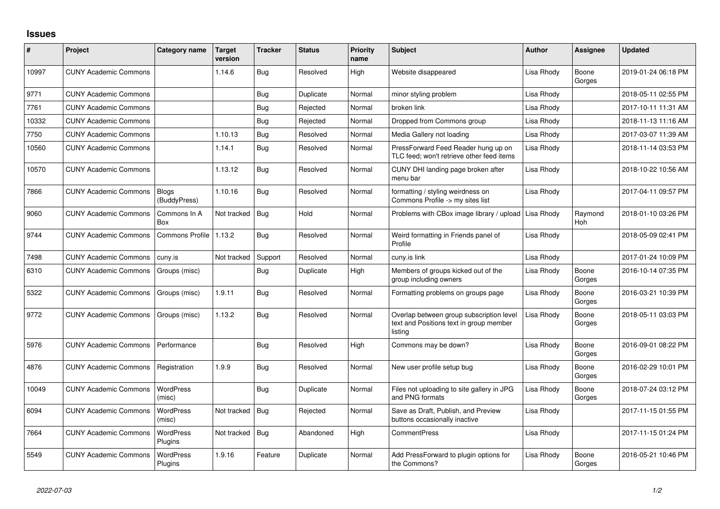## **Issues**

| #     | Project                      | Category name                | Target<br>version | <b>Tracker</b> | <b>Status</b> | <b>Priority</b><br>name | <b>Subject</b>                                                                                 | <b>Author</b> | <b>Assignee</b> | <b>Updated</b>      |
|-------|------------------------------|------------------------------|-------------------|----------------|---------------|-------------------------|------------------------------------------------------------------------------------------------|---------------|-----------------|---------------------|
| 10997 | <b>CUNY Academic Commons</b> |                              | 1.14.6            | Bug            | Resolved      | High                    | Website disappeared                                                                            | Lisa Rhody    | Boone<br>Gorges | 2019-01-24 06:18 PM |
| 9771  | <b>CUNY Academic Commons</b> |                              |                   | Bug            | Duplicate     | Normal                  | minor styling problem                                                                          | Lisa Rhody    |                 | 2018-05-11 02:55 PM |
| 7761  | <b>CUNY Academic Commons</b> |                              |                   | Bug            | Rejected      | Normal                  | broken link                                                                                    | Lisa Rhody    |                 | 2017-10-11 11:31 AM |
| 10332 | <b>CUNY Academic Commons</b> |                              |                   | Bug            | Rejected      | Normal                  | Dropped from Commons group                                                                     | Lisa Rhody    |                 | 2018-11-13 11:16 AM |
| 7750  | <b>CUNY Academic Commons</b> |                              | 1.10.13           | Bug            | Resolved      | Normal                  | Media Gallery not loading                                                                      | Lisa Rhody    |                 | 2017-03-07 11:39 AM |
| 10560 | <b>CUNY Academic Commons</b> |                              | 1.14.1            | Bug            | Resolved      | Normal                  | PressForward Feed Reader hung up on<br>TLC feed; won't retrieve other feed items               | Lisa Rhody    |                 | 2018-11-14 03:53 PM |
| 10570 | <b>CUNY Academic Commons</b> |                              | 1.13.12           | Bug            | Resolved      | Normal                  | CUNY DHI landing page broken after<br>menu bar                                                 | Lisa Rhody    |                 | 2018-10-22 10:56 AM |
| 7866  | <b>CUNY Academic Commons</b> | <b>Blogs</b><br>(BuddyPress) | 1.10.16           | Bug            | Resolved      | Normal                  | formatting / styling weirdness on<br>Commons Profile -> my sites list                          | Lisa Rhodv    |                 | 2017-04-11 09:57 PM |
| 9060  | <b>CUNY Academic Commons</b> | Commons In A<br>Box          | Not tracked       | Bug            | Hold          | Normal                  | Problems with CBox image library / upload                                                      | Lisa Rhody    | Raymond<br>Hoh  | 2018-01-10 03:26 PM |
| 9744  | <b>CUNY Academic Commons</b> | Commons Profile              | 1.13.2            | Bug            | Resolved      | Normal                  | Weird formatting in Friends panel of<br>Profile                                                | Lisa Rhody    |                 | 2018-05-09 02:41 PM |
| 7498  | <b>CUNY Academic Commons</b> | cuny.is                      | Not tracked       | Support        | Resolved      | Normal                  | cuny.is link                                                                                   | Lisa Rhody    |                 | 2017-01-24 10:09 PM |
| 6310  | <b>CUNY Academic Commons</b> | Groups (misc)                |                   | Bug            | Duplicate     | High                    | Members of groups kicked out of the<br>group including owners                                  | Lisa Rhody    | Boone<br>Gorges | 2016-10-14 07:35 PM |
| 5322  | <b>CUNY Academic Commons</b> | Groups (misc)                | 1.9.11            | Bug            | Resolved      | Normal                  | Formatting problems on groups page                                                             | Lisa Rhody    | Boone<br>Gorges | 2016-03-21 10:39 PM |
| 9772  | <b>CUNY Academic Commons</b> | Groups (misc)                | 1.13.2            | Bug            | Resolved      | Normal                  | Overlap between group subscription level<br>text and Positions text in group member<br>listing | Lisa Rhody    | Boone<br>Gorges | 2018-05-11 03:03 PM |
| 5976  | <b>CUNY Academic Commons</b> | Performance                  |                   | Bug            | Resolved      | High                    | Commons may be down?                                                                           | Lisa Rhody    | Boone<br>Gorges | 2016-09-01 08:22 PM |
| 4876  | <b>CUNY Academic Commons</b> | Registration                 | 1.9.9             | Bug            | Resolved      | Normal                  | New user profile setup bug                                                                     | Lisa Rhody    | Boone<br>Gorges | 2016-02-29 10:01 PM |
| 10049 | <b>CUNY Academic Commons</b> | <b>WordPress</b><br>(misc)   |                   | Bug            | Duplicate     | Normal                  | Files not uploading to site gallery in JPG<br>and PNG formats                                  | Lisa Rhody    | Boone<br>Gorges | 2018-07-24 03:12 PM |
| 6094  | <b>CUNY Academic Commons</b> | <b>WordPress</b><br>(misc)   | Not tracked       | Bug            | Rejected      | Normal                  | Save as Draft, Publish, and Preview<br>buttons occasionally inactive                           | Lisa Rhody    |                 | 2017-11-15 01:55 PM |
| 7664  | <b>CUNY Academic Commons</b> | <b>WordPress</b><br>Plugins  | Not tracked       | Bug            | Abandoned     | High                    | <b>CommentPress</b>                                                                            | Lisa Rhody    |                 | 2017-11-15 01:24 PM |
| 5549  | <b>CUNY Academic Commons</b> | <b>WordPress</b><br>Plugins  | 1.9.16            | Feature        | Duplicate     | Normal                  | Add PressForward to plugin options for<br>the Commons?                                         | Lisa Rhody    | Boone<br>Gorges | 2016-05-21 10:46 PM |